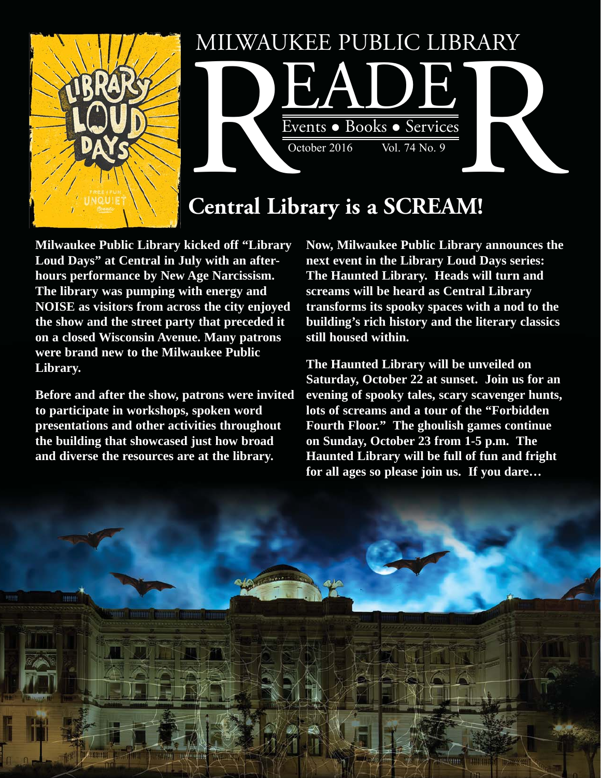



# **Central Library is a SCREAM!**

**Milwaukee Public Library kicked off "Library Loud Days" at Central in July with an afterhours performance by New Age Narcissism. The library was pumping with energy and NOISE as visitors from across the city enjoyed the show and the street party that preceded it on a closed Wisconsin Avenue. Many patrons were brand new to the Milwaukee Public Library.** 

**Before and after the show, patrons were invited to participate in workshops, spoken word presentations and other activities throughout the building that showcased just how broad and diverse the resources are at the library.** 

**Now, Milwaukee Public Library announces the next event in the Library Loud Days series: The Haunted Library. Heads will turn and screams will be heard as Central Library transforms its spooky spaces with a nod to the building's rich history and the literary classics still housed within.** 

**The Haunted Library will be unveiled on Saturday, October 22 at sunset. Join us for an evening of spooky tales, scary scavenger hunts, lots of screams and a tour of the "Forbidden Fourth Floor." The ghoulish games continue on Sunday, October 23 from 1-5 p.m. The Haunted Library will be full of fun and fright for all ages so please join us. If you dare…**

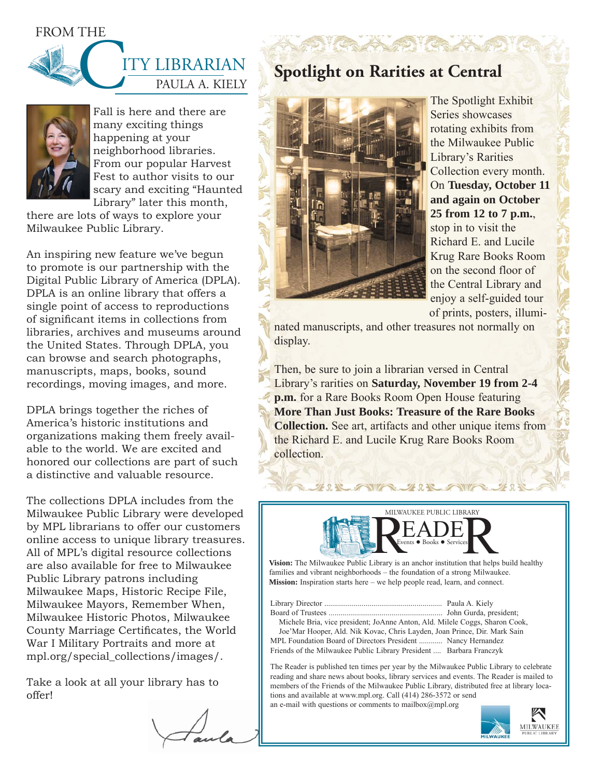

# PAULA A. KIELY ITY LIBRARIAN



Fall is here and there are many exciting things happening at your neighborhood libraries. From our popular Harvest Fest to author visits to our scary and exciting "Haunted Library" later this month,

there are lots of ways to explore your Milwaukee Public Library.

An inspiring new feature we've begun to promote is our partnership with the Digital Public Library of America (DPLA). DPLA is an online library that offers a single point of access to reproductions of significant items in collections from libraries, archives and museums around the United States. Through DPLA, you can browse and search photographs, manuscripts, maps, books, sound recordings, moving images, and more.

DPLA brings together the riches of America's historic institutions and organizations making them freely available to the world. We are excited and honored our collections are part of such a distinctive and valuable resource.

The collections DPLA includes from the Milwaukee Public Library were developed by MPL librarians to offer our customers online access to unique library treasures. All of MPL's digital resource collections are also available for free to Milwaukee Public Library patrons including Milwaukee Maps, Historic Recipe File, Milwaukee Mayors, Remember When, Milwaukee Historic Photos, Milwaukee County Marriage Certificates, the World War I Military Portraits and more at [mpl.org/special\\_collections/images/.](http://www.mpl.org/special_collections/images/) 

Take a look at all your library has to offer!

## **Spotlight on Rarities at Central**



The Spotlight Exhibit Series showcases rotating exhibits from the Milwaukee Public Library's Rarities Collection every month. On **Tuesday, October 11 and again on October 25 from 12 to 7 p.m.**, stop in to visit the Richard E. and Lucile Krug Rare Books Room on the second floor of the Central Library and enjoy a self-guided tour of prints, posters, illumi-

nated manuscripts, and other treasures not normally on display.

Then, be sure to join a librarian versed in Central Library's rarities on **Saturday, November 19 from 2-4 p.m.** for a Rare Books Room Open House featuring **More Than Just Books: Treasure of the Rare Books Collection.** See art, artifacts and other unique items from the Richard E. and Lucile Krug Rare Books Room collection.



TWA XXXX

families and vibrant neighborhoods – the foundation of a strong Milwaukee. **Mission:** Inspiration starts here – we help people read, learn, and connect.

Library Director ............................................................ Paula A. Kiely Board of Trustees .......................................................... John Gurda, president; Michele Bria, vice president; JoAnne Anton, Ald. Milele Coggs, Sharon Cook, Joe'Mar Hooper, Ald. Nik Kovac, Chris Layden, Joan Prince, Dir. Mark Sain MPL Foundation Board of Directors President ............ Nancy Hernandez Friends of the Milwaukee Public Library President .... Barbara Franczyk

The Reader is published ten times per year by the Milwaukee Public Library to celebrate reading and share news about books, library services and events. The Reader is mailed to members of the Friends of the Milwaukee Public Library, distributed free at library locations and available at www.mpl.org. Call (414) 286-3572 or send an e-mail with questions or comments to mailbox $(\partial_l m \rho)$ .org

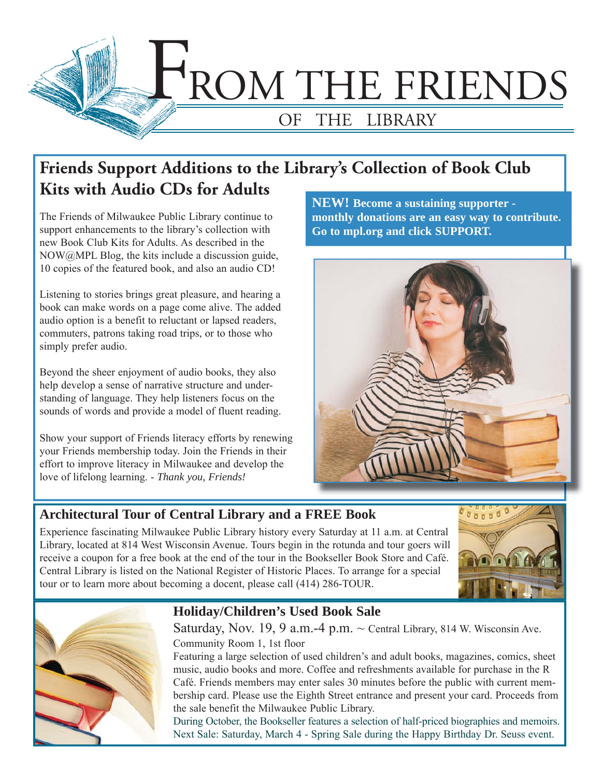

# **Friends Support Additions to the Library's Collection of Book Club Kits with Audio CDs for Adults**

The Friends of Milwaukee Public Library continue to support enhancements to the library's collection with new Book Club Kits for Adults. As described in the NOW@MPL Blog, the kits include a discussion guide, 10 copies of the featured book, and also an audio CD!

Listening to stories brings great pleasure, and hearing a book can make words on a page come alive. The added audio option is a benefit to reluctant or lapsed readers, commuters, patrons taking road trips, or to those who simply prefer audio.

Beyond the sheer enjoyment of audio books, they also help develop a sense of narrative structure and understanding of language. They help listeners focus on the sounds of words and provide a model of fluent reading.

Show your support of Friends literacy efforts by renewing your Friends membership today. Join the Friends in their effort to improve literacy in Milwaukee and develop the love of lifelong learning. - *Thank you, Friends!*

**NEW! Become a sustaining supporter monthly donations are an easy way to contribute. Go to mpl.org and click SUPPORT.** 



#### **Architectural Tour of Central Library and a FREE Book**

Experience fascinating Milwaukee Public Library history every Saturday at 11 a.m. at Central Library, located at 814 West Wisconsin Avenue. Tours begin in the rotunda and tour goers will receive a coupon for a free book at the end of the tour in the Bookseller Book Store and Café. Central Library is listed on the National Register of Historic Places. To arrange for a special tour or to learn more about becoming a docent, please call (414) 286-TOUR.





#### **Holiday/Children's Used Book Sale**

Saturday, Nov. 19, 9 a.m.-4 p.m.  $\sim$  Central Library, 814 W. Wisconsin Ave. Community Room 1, 1st floor

Featuring a large selection of used children's and adult books, magazines, comics, sheet music, audio books and more. Coffee and refreshments available for purchase in the R Café. Friends members may enter sales 30 minutes before the public with current membership card. Please use the Eighth Street entrance and present your card. Proceeds from the sale benefit the Milwaukee Public Library.

During October, the Bookseller features a selection of half-priced biographies and memoirs. Next Sale: Saturday, March 4 - Spring Sale during the Happy Birthday Dr. Seuss event.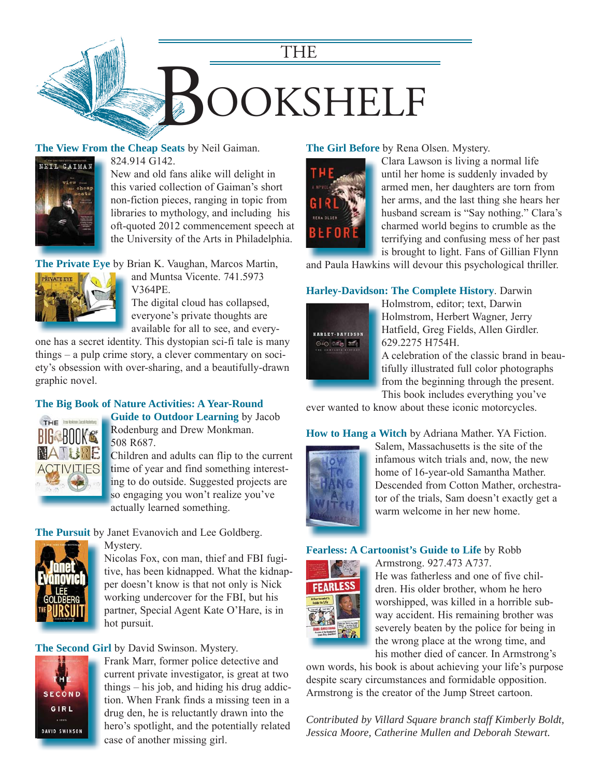

#### **The View From the Cheap Seats** by Neil Gaiman.



824.914 G142.

New and old fans alike will delight in this varied collection of Gaiman's short non-fiction pieces, ranging in topic from libraries to mythology, and including his [oft-quoted 2012 commencement speech at](https://encore.mcfls.org/iii/encore/record/C__Rb3911351)  the University of the Arts in Philadelphia.

**The Private Eye** by Brian K. Vaughan, Marcos Martin,



and Muntsa Vicente. 741.5973 V364PE.

The digital cloud has collapsed, everyone's private thoughts are available for all to see, and every-

[one has a secret identity. This dystopian sci-fi tale is many](https://encore.mcfls.org/iii/encore/record/C__Rb3861528)  things – a pulp crime story, a clever commentary on society's obsession with over-sharing, and a beautifully-drawn graphic novel.

#### **[The Big Book of Nature Activities: A Year-Round](https://encore.mcfls.org/iii/encore/record/C__Rb3916556)**



**Guide to Outdoor Learning** by Jacob **G** Rodenburg and Drew Monkman. R 508 R687. 5

Children and adults can flip to the current C time of year and find something interesting to do outside. Suggested projects are in so engaging you won't realize you've actually learned something. a

**The Pursuit** by Janet Evanovich and Lee Goldberg.



Mystery. Nicolas Fox, con man, thief and FBI fugi[tive, has been kidnapped. What the kidnap](https://encore.mcfls.org/iii/encore/record/C__Rb3912443)per doesn't know is that not only is Nick working undercover for the FBI, but his partner, Special Agent Kate O'Hare, is in hot pursuit.

#### **The Second Girl** by David Swinson. Mystery.



Frank Marr, former police detective and current private investigator, is great at two things – his job, and hiding his drug addiction. When Frank finds a missing teen in a drug den, he is reluctantly drawn into the [hero's spotlight, and the potentially related](https://encore.mcfls.org/iii/encore/record/C__Rb3908032)  case of another missing girl.

**The Girl Before** by Rena Olsen. Mystery.



Clara Lawson is living a normal life until her home is suddenly invaded by armed men, her daughters are torn from her arms, and the last thing she hears her husband scream is "Say nothing." Clara's charmed world begins to crumble as the terrifying and confusing mess of her past is brought to light. Fans of Gillian Flynn

[and Paula Hawkins will devour this psychological thriller.](https://encore.mcfls.org/iii/encore/record/C__Rb3922651)

#### **Harley-Davidson: The Complete History**. Darwin



Holmstrom, editor; text, Darwin Holmstrom, Herbert Wagner, Jerry Hatfield, Greg Fields, Allen Girdler. 629.2275 H754H.

A celebration of the classic brand in beautifully illustrated full color photographs from the beginning through the present. This book includes everything you've

[ever wanted to know about these iconic motorcycles.](https://encore.mcfls.org/iii/encore/record/C__Rb3917470)

**How to Hang a Witch** by Adriana Mather. YA Fiction.



Salem, Massachusetts is the site of the infamous witch trials and, now, the new home of 16-year-old Samantha Mather. [Descended from Cotton Mather, orchestra](https://encore.mcfls.org/iii/encore/record/C__Rb3920893)tor of the trials, Sam doesn't exactly get a warm welcome in her new home.

#### **Fearless: A Cartoonist's Guide to Life** by Robb



Armstrong. 927.473 A737. He was fatherless and one of five children. His older brother, whom he hero worshipped, was killed in a horrible subway accident. His remaining brother was severely beaten by the police for being in the wrong place at the wrong time, and his mother died of cancer. In Armstrong's

[own words, his book is about achieving your life's purpose](https://encore.mcfls.org/iii/encore/record/C__Rb3906524)  despite scary circumstances and formidable opposition. Armstrong is the creator of the Jump Street cartoon.

*Contributed by Villard Square branch staff Kimberly Boldt, Jessica Moore, Catherine Mullen and Deborah Stewart.*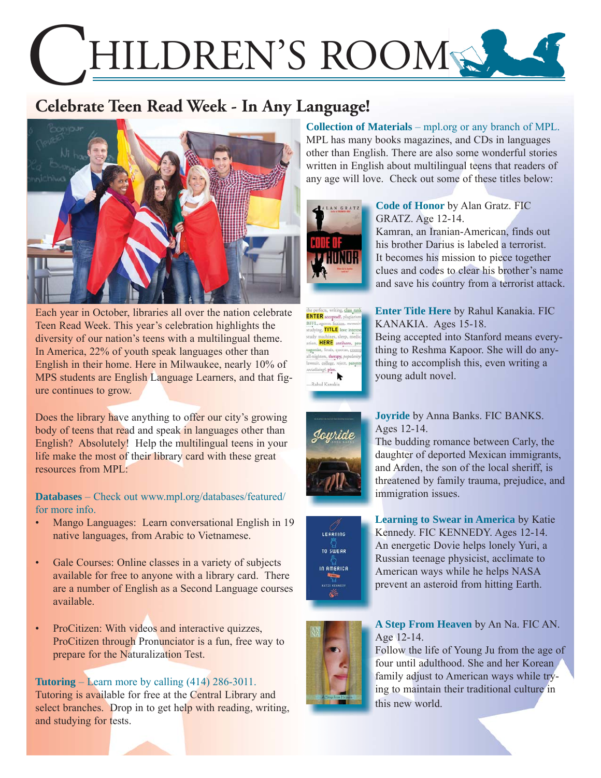# HILDREN'S ROOM

# **Celebrate Teen Read Week - In Any Language!**



Each year in October, libraries all over the nation celebrate Teen Read Week. This year's celebration highlights the diversity of our nation's teens with a multilingual theme. In America, 22% of youth speak languages other than English in their home. Here in Milwaukee, nearly 10% of MPS students are English Language Learners, and that figure continues to grow.

Does the library have anything to offer our city's growing body of teens that read and speak in languages other than English? Absolutely! Help the multilingual teens in your life make the most of their library card with these great resources from MPL:

**Databases** – Check out www.mpl.org/databases/featured/ for more info.

- Mango Languages: Learn conversational English in 19 native languages, from Arabic to Vietnamese.
- Gale Courses: Online classes in a variety of subjects available for free to anyone with a library card. There are a number of English as a Second Language courses available.
- ProCitizen: With videos and interactive quizzes, ProCitizen through Pronunciator is a fun, free way to prepare for the Naturalization Test.

**Tutoring** – Learn more by calling (414) 286-3011. Tutoring is available for free at the Central Library and select branches. Drop in to get help with reading, writing, and studying for tests.

**Collection of Materials** – mpl.org or any branch of MPL. MPL has many books magazines, and CDs in languages other than English. There are also some wonderful stories written in English about multilingual teens that readers of any age will love. Check out some of these titles below:





**Code of Honor** by Alan Gratz. FIC GRATZ. Age 12-14. Kamran, an Iranian-American, finds out his brother Darius is labeled a terrorist. It becomes his mission to piece together clues and codes to clear his brother's name [and save his country from a terrorist attack.](https://encore.mcfls.org/iii/encore/record/C__Rb3851458) 

**Enter Title Here** by Rahul Kanakia. FIC KANAKIA. Ages 15-18. [Being accepted into Stanford means every](https://encore.mcfls.org/iii/encore/record/C__Rb3922119)thing to Reshma Kapoor. She will do anything to accomplish this, even writing a young adult novel.



#### **Joyride** by Anna Banks. FIC BANKS. Ages 12-14.

The budding romance between Carly, the daughter of deported Mexican immigrants, and Arden, the son of the local sheriff, is [threatened by family trauma, prejudice, and](https://encore.mcfls.org/iii/encore/record/C__Rb3835169)  immigration issues.



**Learning to Swear in America** by Katie Kennedy. FIC KENNEDY. Ages 12-14. [An energetic Dovie helps lonely Yuri, a](https://encore.mcfls.org/iii/encore/record/C__Rb3908000)  Russian teenage physicist, acclimate to American ways while he helps NASA prevent an asteroid from hitting Earth.



#### **A Step From Heaven** by An Na. FIC AN. Age 12-14.

[Follow the life of Young Ju from the age of](https://encore.mcfls.org/iii/encore/record/C__Rb2814827)  four until adulthood. She and her Korean family adjust to American ways while trying to maintain their traditional culture in this new world.